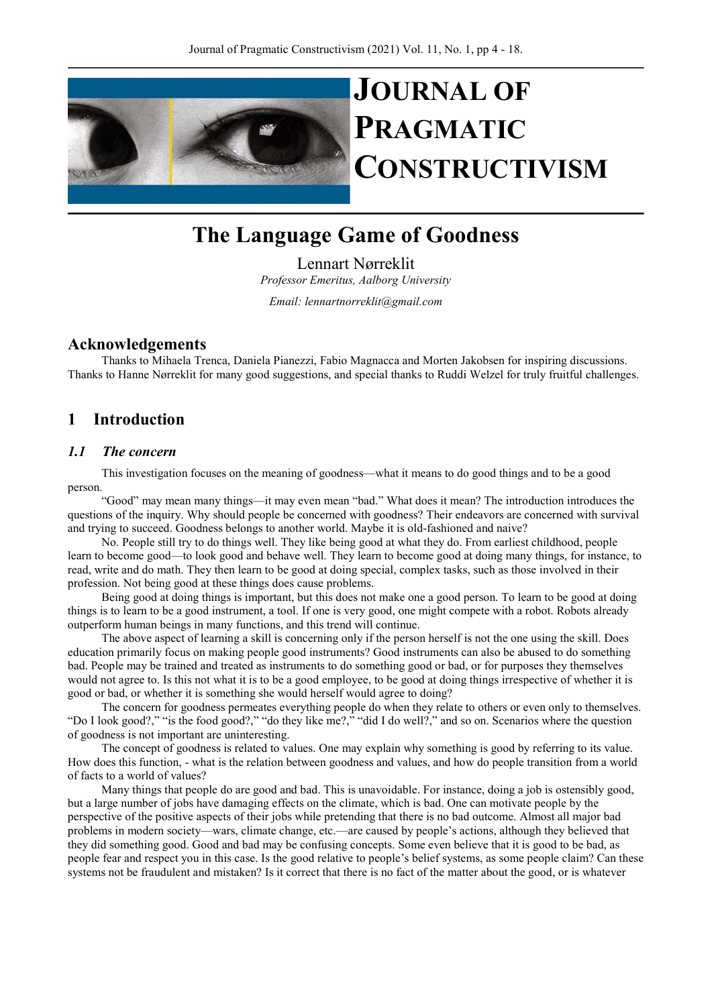

# JOURNAL OF PRAGMATIC **CONSTRUCTIVISM**

# The Language Game of Goodness

Lennart Nørreklit Professor Emeritus, Aalborg University

Email: lennartnorreklit@gmail.com

# Acknowledgements

Thanks to Mihaela Trenca, Daniela Pianezzi, Fabio Magnacca and Morten Jakobsen for inspiring discussions. Thanks to Hanne Nørreklit for many good suggestions, and special thanks to Ruddi Welzel for truly fruitful challenges.

# 1 Introduction

# 1.1 The concern

This investigation focuses on the meaning of goodness—what it means to do good things and to be a good person.

"Good" may mean many things—it may even mean "bad." What does it mean? The introduction introduces the questions of the inquiry. Why should people be concerned with goodness? Their endeavors are concerned with survival and trying to succeed. Goodness belongs to another world. Maybe it is old-fashioned and naive?

No. People still try to do things well. They like being good at what they do. From earliest childhood, people learn to become good—to look good and behave well. They learn to become good at doing many things, for instance, to read, write and do math. They then learn to be good at doing special, complex tasks, such as those involved in their profession. Not being good at these things does cause problems.

Being good at doing things is important, but this does not make one a good person. To learn to be good at doing things is to learn to be a good instrument, a tool. If one is very good, one might compete with a robot. Robots already outperform human beings in many functions, and this trend will continue.

The above aspect of learning a skill is concerning only if the person herself is not the one using the skill. Does education primarily focus on making people good instruments? Good instruments can also be abused to do something bad. People may be trained and treated as instruments to do something good or bad, or for purposes they themselves would not agree to. Is this not what it is to be a good employee, to be good at doing things irrespective of whether it is good or bad, or whether it is something she would herself would agree to doing?

The concern for goodness permeates everything people do when they relate to others or even only to themselves. "Do I look good?," "is the food good?," "do they like me?," "did I do well?," and so on. Scenarios where the question of goodness is not important are uninteresting.

The concept of goodness is related to values. One may explain why something is good by referring to its value. How does this function, - what is the relation between goodness and values, and how do people transition from a world of facts to a world of values?

Many things that people do are good and bad. This is unavoidable. For instance, doing a job is ostensibly good, but a large number of jobs have damaging effects on the climate, which is bad. One can motivate people by the perspective of the positive aspects of their jobs while pretending that there is no bad outcome. Almost all major bad problems in modern society—wars, climate change, etc.—are caused by people's actions, although they believed that they did something good. Good and bad may be confusing concepts. Some even believe that it is good to be bad, as people fear and respect you in this case. Is the good relative to people's belief systems, as some people claim? Can these systems not be fraudulent and mistaken? Is it correct that there is no fact of the matter about the good, or is whatever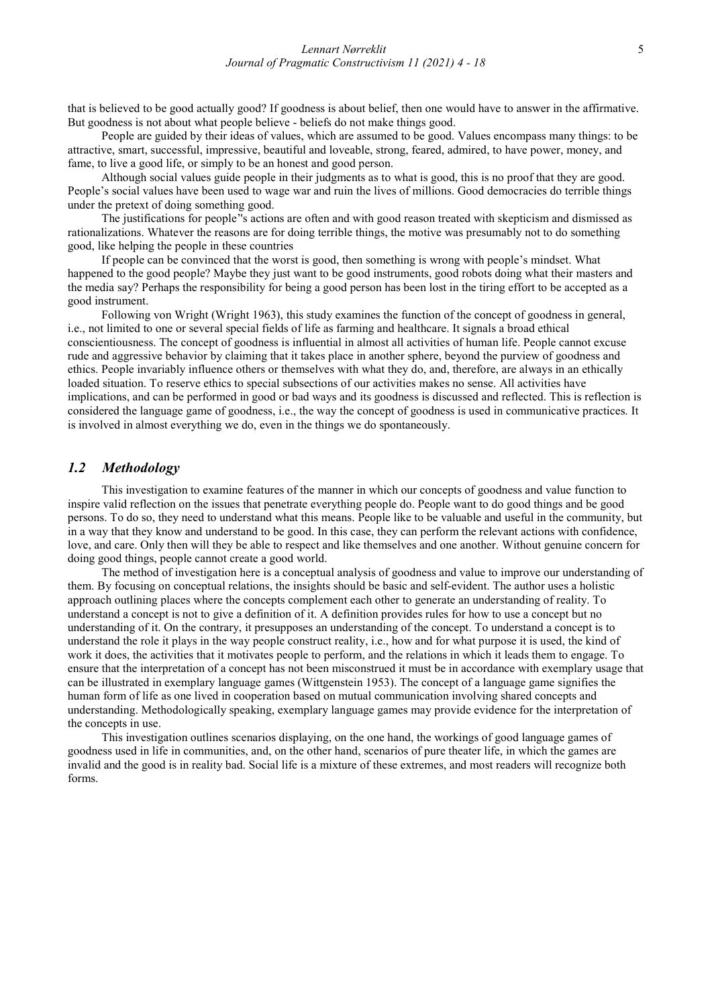that is believed to be good actually good? If goodness is about belief, then one would have to answer in the affirmative. But goodness is not about what people believe - beliefs do not make things good.

People are guided by their ideas of values, which are assumed to be good. Values encompass many things: to be attractive, smart, successful, impressive, beautiful and loveable, strong, feared, admired, to have power, money, and fame, to live a good life, or simply to be an honest and good person.

Although social values guide people in their judgments as to what is good, this is no proof that they are good. People's social values have been used to wage war and ruin the lives of millions. Good democracies do terrible things under the pretext of doing something good.

The justifications for people''s actions are often and with good reason treated with skepticism and dismissed as rationalizations. Whatever the reasons are for doing terrible things, the motive was presumably not to do something good, like helping the people in these countries

If people can be convinced that the worst is good, then something is wrong with people's mindset. What happened to the good people? Maybe they just want to be good instruments, good robots doing what their masters and the media say? Perhaps the responsibility for being a good person has been lost in the tiring effort to be accepted as a good instrument.

Following von Wright (Wright 1963), this study examines the function of the concept of goodness in general, i.e., not limited to one or several special fields of life as farming and healthcare. It signals a broad ethical conscientiousness. The concept of goodness is influential in almost all activities of human life. People cannot excuse rude and aggressive behavior by claiming that it takes place in another sphere, beyond the purview of goodness and ethics. People invariably influence others or themselves with what they do, and, therefore, are always in an ethically loaded situation. To reserve ethics to special subsections of our activities makes no sense. All activities have implications, and can be performed in good or bad ways and its goodness is discussed and reflected. This is reflection is considered the language game of goodness, i.e., the way the concept of goodness is used in communicative practices. It is involved in almost everything we do, even in the things we do spontaneously.

### 1.2 Methodology

This investigation to examine features of the manner in which our concepts of goodness and value function to inspire valid reflection on the issues that penetrate everything people do. People want to do good things and be good persons. To do so, they need to understand what this means. People like to be valuable and useful in the community, but in a way that they know and understand to be good. In this case, they can perform the relevant actions with confidence, love, and care. Only then will they be able to respect and like themselves and one another. Without genuine concern for doing good things, people cannot create a good world.

The method of investigation here is a conceptual analysis of goodness and value to improve our understanding of them. By focusing on conceptual relations, the insights should be basic and self-evident. The author uses a holistic approach outlining places where the concepts complement each other to generate an understanding of reality. To understand a concept is not to give a definition of it. A definition provides rules for how to use a concept but no understanding of it. On the contrary, it presupposes an understanding of the concept. To understand a concept is to understand the role it plays in the way people construct reality, i.e., how and for what purpose it is used, the kind of work it does, the activities that it motivates people to perform, and the relations in which it leads them to engage. To ensure that the interpretation of a concept has not been misconstrued it must be in accordance with exemplary usage that can be illustrated in exemplary language games (Wittgenstein 1953). The concept of a language game signifies the human form of life as one lived in cooperation based on mutual communication involving shared concepts and understanding. Methodologically speaking, exemplary language games may provide evidence for the interpretation of the concepts in use.

This investigation outlines scenarios displaying, on the one hand, the workings of good language games of goodness used in life in communities, and, on the other hand, scenarios of pure theater life, in which the games are invalid and the good is in reality bad. Social life is a mixture of these extremes, and most readers will recognize both forms.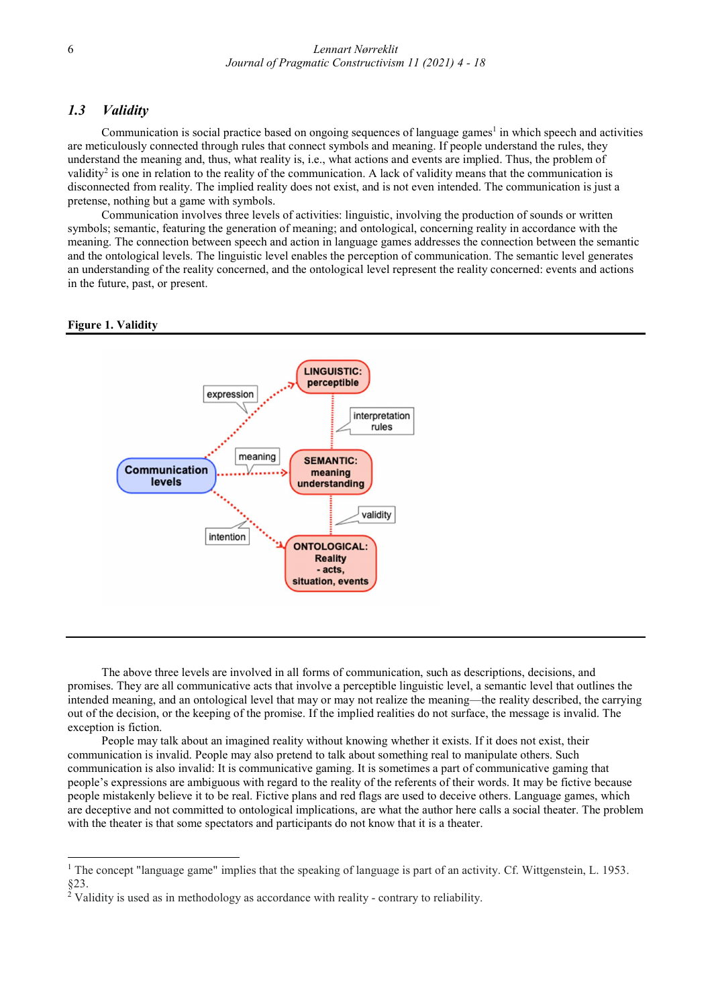# 1.3 Validity

Communication is social practice based on ongoing sequences of language games<sup>1</sup> in which speech and activities are meticulously connected through rules that connect symbols and meaning. If people understand the rules, they understand the meaning and, thus, what reality is, i.e., what actions and events are implied. Thus, the problem of validity<sup>2</sup> is one in relation to the reality of the communication. A lack of validity means that the communication is disconnected from reality. The implied reality does not exist, and is not even intended. The communication is just a pretense, nothing but a game with symbols.

Communication involves three levels of activities: linguistic, involving the production of sounds or written symbols; semantic, featuring the generation of meaning; and ontological, concerning reality in accordance with the meaning. The connection between speech and action in language games addresses the connection between the semantic and the ontological levels. The linguistic level enables the perception of communication. The semantic level generates an understanding of the reality concerned, and the ontological level represent the reality concerned: events and actions in the future, past, or present.

#### Figure 1. Validity

-



The above three levels are involved in all forms of communication, such as descriptions, decisions, and promises. They are all communicative acts that involve a perceptible linguistic level, a semantic level that outlines the intended meaning, and an ontological level that may or may not realize the meaning—the reality described, the carrying out of the decision, or the keeping of the promise. If the implied realities do not surface, the message is invalid. The exception is fiction.

People may talk about an imagined reality without knowing whether it exists. If it does not exist, their communication is invalid. People may also pretend to talk about something real to manipulate others. Such communication is also invalid: It is communicative gaming. It is sometimes a part of communicative gaming that people's expressions are ambiguous with regard to the reality of the referents of their words. It may be fictive because people mistakenly believe it to be real. Fictive plans and red flags are used to deceive others. Language games, which are deceptive and not committed to ontological implications, are what the author here calls a social theater. The problem with the theater is that some spectators and participants do not know that it is a theater.

<sup>&</sup>lt;sup>1</sup> The concept "language game" implies that the speaking of language is part of an activity. Cf. Wittgenstein, L. 1953. §23.

 $\frac{2}{3}$  Validity is used as in methodology as accordance with reality - contrary to reliability.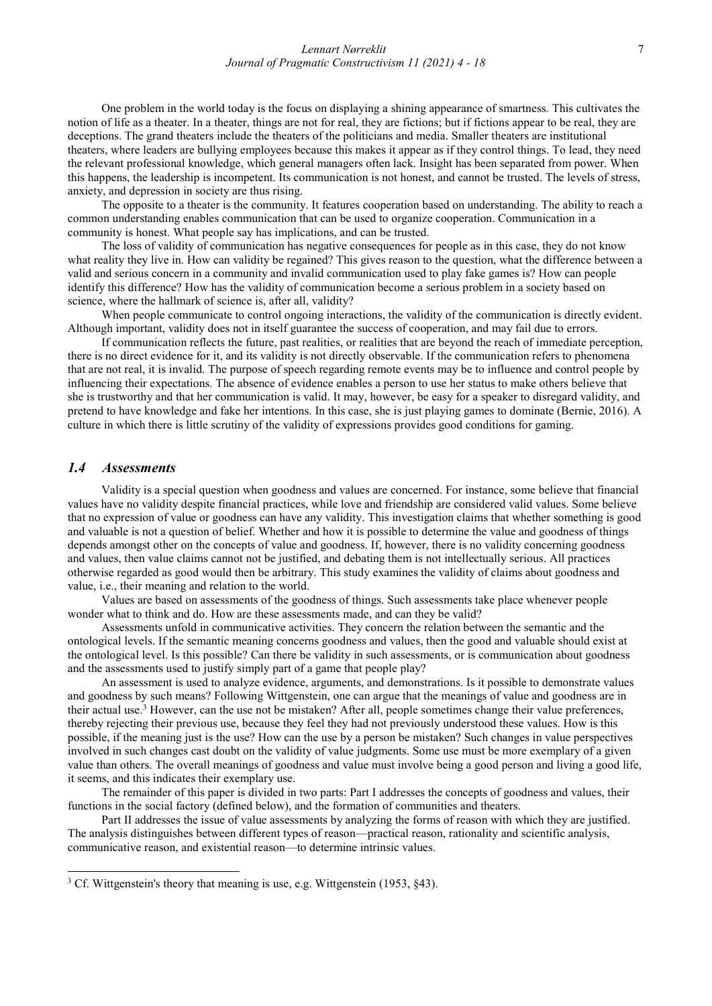One problem in the world today is the focus on displaying a shining appearance of smartness. This cultivates the notion of life as a theater. In a theater, things are not for real, they are fictions; but if fictions appear to be real, they are deceptions. The grand theaters include the theaters of the politicians and media. Smaller theaters are institutional theaters, where leaders are bullying employees because this makes it appear as if they control things. To lead, they need the relevant professional knowledge, which general managers often lack. Insight has been separated from power. When this happens, the leadership is incompetent. Its communication is not honest, and cannot be trusted. The levels of stress, anxiety, and depression in society are thus rising.

The opposite to a theater is the community. It features cooperation based on understanding. The ability to reach a common understanding enables communication that can be used to organize cooperation. Communication in a community is honest. What people say has implications, and can be trusted.

The loss of validity of communication has negative consequences for people as in this case, they do not know what reality they live in. How can validity be regained? This gives reason to the question, what the difference between a valid and serious concern in a community and invalid communication used to play fake games is? How can people identify this difference? How has the validity of communication become a serious problem in a society based on science, where the hallmark of science is, after all, validity?

When people communicate to control ongoing interactions, the validity of the communication is directly evident. Although important, validity does not in itself guarantee the success of cooperation, and may fail due to errors.

If communication reflects the future, past realities, or realities that are beyond the reach of immediate perception, there is no direct evidence for it, and its validity is not directly observable. If the communication refers to phenomena that are not real, it is invalid. The purpose of speech regarding remote events may be to influence and control people by influencing their expectations. The absence of evidence enables a person to use her status to make others believe that she is trustworthy and that her communication is valid. It may, however, be easy for a speaker to disregard validity, and pretend to have knowledge and fake her intentions. In this case, she is just playing games to dominate (Bernie, 2016). A culture in which there is little scrutiny of the validity of expressions provides good conditions for gaming.

# 1.4 Assessments

-

Validity is a special question when goodness and values are concerned. For instance, some believe that financial values have no validity despite financial practices, while love and friendship are considered valid values. Some believe that no expression of value or goodness can have any validity. This investigation claims that whether something is good and valuable is not a question of belief. Whether and how it is possible to determine the value and goodness of things depends amongst other on the concepts of value and goodness. If, however, there is no validity concerning goodness and values, then value claims cannot not be justified, and debating them is not intellectually serious. All practices otherwise regarded as good would then be arbitrary. This study examines the validity of claims about goodness and value, i.e., their meaning and relation to the world.

Values are based on assessments of the goodness of things. Such assessments take place whenever people wonder what to think and do. How are these assessments made, and can they be valid?

Assessments unfold in communicative activities. They concern the relation between the semantic and the ontological levels. If the semantic meaning concerns goodness and values, then the good and valuable should exist at the ontological level. Is this possible? Can there be validity in such assessments, or is communication about goodness and the assessments used to justify simply part of a game that people play?

An assessment is used to analyze evidence, arguments, and demonstrations. Is it possible to demonstrate values and goodness by such means? Following Wittgenstein, one can argue that the meanings of value and goodness are in their actual use.<sup>3</sup> However, can the use not be mistaken? After all, people sometimes change their value preferences, thereby rejecting their previous use, because they feel they had not previously understood these values. How is this possible, if the meaning just is the use? How can the use by a person be mistaken? Such changes in value perspectives involved in such changes cast doubt on the validity of value judgments. Some use must be more exemplary of a given value than others. The overall meanings of goodness and value must involve being a good person and living a good life, it seems, and this indicates their exemplary use.

The remainder of this paper is divided in two parts: Part I addresses the concepts of goodness and values, their functions in the social factory (defined below), and the formation of communities and theaters.

Part II addresses the issue of value assessments by analyzing the forms of reason with which they are justified. The analysis distinguishes between different types of reason—practical reason, rationality and scientific analysis, communicative reason, and existential reason—to determine intrinsic values.

<sup>&</sup>lt;sup>3</sup> Cf. Wittgenstein's theory that meaning is use, e.g. Wittgenstein (1953, §43).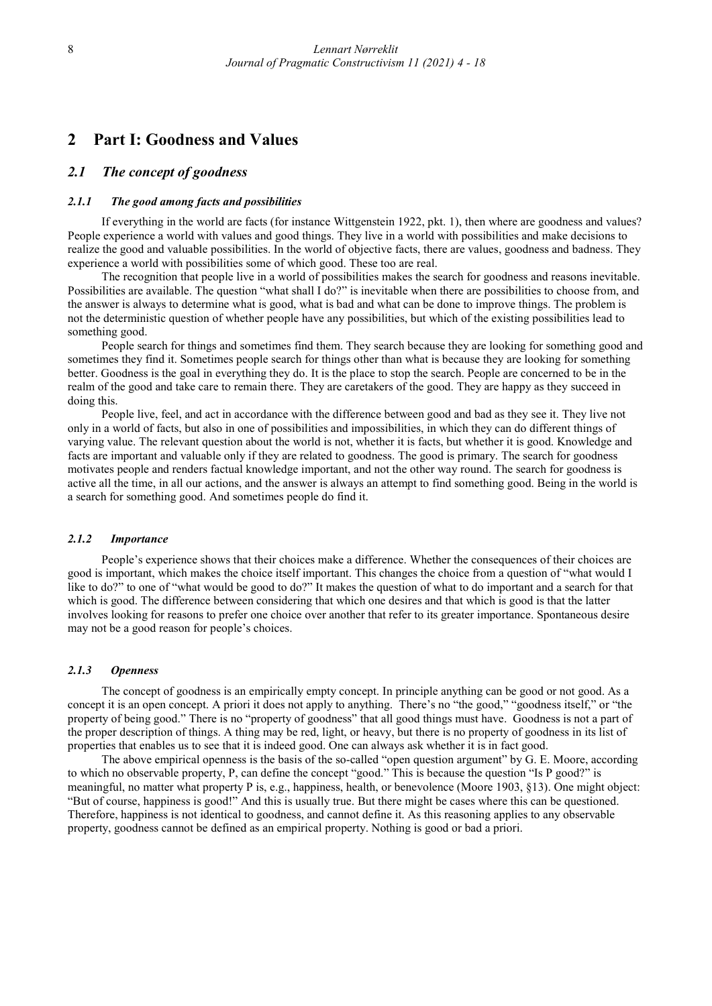# 2 Part I: Goodness and Values

#### 2.1 The concept of goodness

#### 2.1.1 The good among facts and possibilities

If everything in the world are facts (for instance Wittgenstein 1922, pkt. 1), then where are goodness and values? People experience a world with values and good things. They live in a world with possibilities and make decisions to realize the good and valuable possibilities. In the world of objective facts, there are values, goodness and badness. They experience a world with possibilities some of which good. These too are real.

The recognition that people live in a world of possibilities makes the search for goodness and reasons inevitable. Possibilities are available. The question "what shall I do?" is inevitable when there are possibilities to choose from, and the answer is always to determine what is good, what is bad and what can be done to improve things. The problem is not the deterministic question of whether people have any possibilities, but which of the existing possibilities lead to something good.

People search for things and sometimes find them. They search because they are looking for something good and sometimes they find it. Sometimes people search for things other than what is because they are looking for something better. Goodness is the goal in everything they do. It is the place to stop the search. People are concerned to be in the realm of the good and take care to remain there. They are caretakers of the good. They are happy as they succeed in doing this.

People live, feel, and act in accordance with the difference between good and bad as they see it. They live not only in a world of facts, but also in one of possibilities and impossibilities, in which they can do different things of varying value. The relevant question about the world is not, whether it is facts, but whether it is good. Knowledge and facts are important and valuable only if they are related to goodness. The good is primary. The search for goodness motivates people and renders factual knowledge important, and not the other way round. The search for goodness is active all the time, in all our actions, and the answer is always an attempt to find something good. Being in the world is a search for something good. And sometimes people do find it.

#### 2.1.2 Importance

People's experience shows that their choices make a difference. Whether the consequences of their choices are good is important, which makes the choice itself important. This changes the choice from a question of "what would I like to do?" to one of "what would be good to do?" It makes the question of what to do important and a search for that which is good. The difference between considering that which one desires and that which is good is that the latter involves looking for reasons to prefer one choice over another that refer to its greater importance. Spontaneous desire may not be a good reason for people's choices.

#### 2.1.3 Openness

The concept of goodness is an empirically empty concept. In principle anything can be good or not good. As a concept it is an open concept. A priori it does not apply to anything. There's no "the good," "goodness itself," or "the property of being good." There is no "property of goodness" that all good things must have. Goodness is not a part of the proper description of things. A thing may be red, light, or heavy, but there is no property of goodness in its list of properties that enables us to see that it is indeed good. One can always ask whether it is in fact good.

The above empirical openness is the basis of the so-called "open question argument" by G. E. Moore, according to which no observable property, P, can define the concept "good." This is because the question "Is P good?" is meaningful, no matter what property P is, e.g., happiness, health, or benevolence (Moore 1903, §13). One might object: "But of course, happiness is good!" And this is usually true. But there might be cases where this can be questioned. Therefore, happiness is not identical to goodness, and cannot define it. As this reasoning applies to any observable property, goodness cannot be defined as an empirical property. Nothing is good or bad a priori.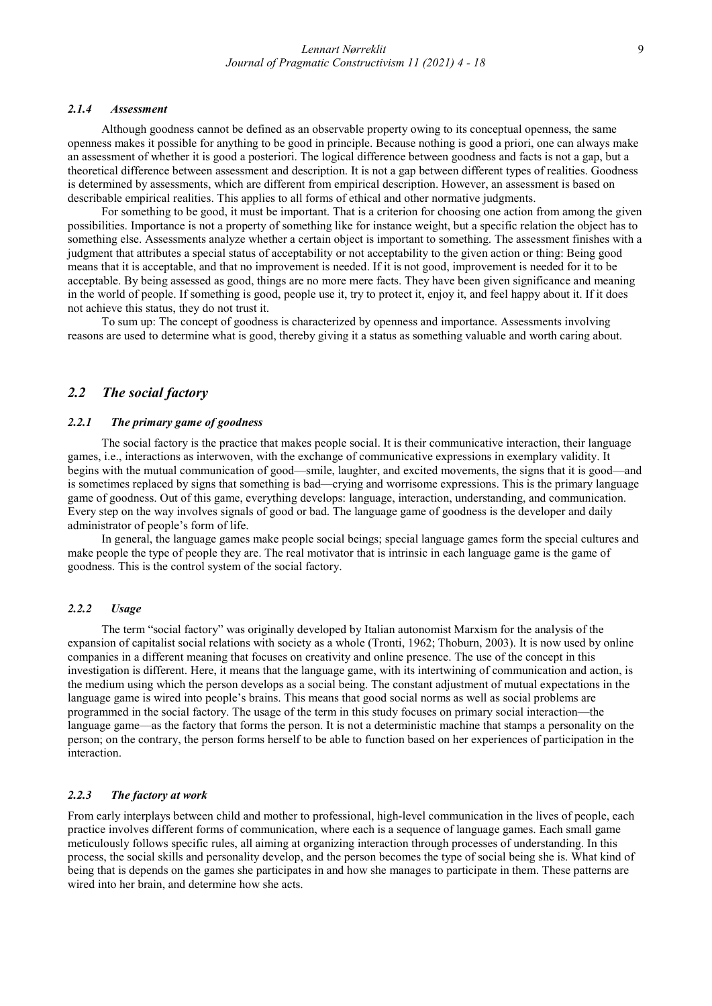#### 2.1.4 Assessment

Although goodness cannot be defined as an observable property owing to its conceptual openness, the same openness makes it possible for anything to be good in principle. Because nothing is good a priori, one can always make an assessment of whether it is good a posteriori. The logical difference between goodness and facts is not a gap, but a theoretical difference between assessment and description. It is not a gap between different types of realities. Goodness is determined by assessments, which are different from empirical description. However, an assessment is based on describable empirical realities. This applies to all forms of ethical and other normative judgments.

For something to be good, it must be important. That is a criterion for choosing one action from among the given possibilities. Importance is not a property of something like for instance weight, but a specific relation the object has to something else. Assessments analyze whether a certain object is important to something. The assessment finishes with a judgment that attributes a special status of acceptability or not acceptability to the given action or thing: Being good means that it is acceptable, and that no improvement is needed. If it is not good, improvement is needed for it to be acceptable. By being assessed as good, things are no more mere facts. They have been given significance and meaning in the world of people. If something is good, people use it, try to protect it, enjoy it, and feel happy about it. If it does not achieve this status, they do not trust it.

To sum up: The concept of goodness is characterized by openness and importance. Assessments involving reasons are used to determine what is good, thereby giving it a status as something valuable and worth caring about.

# 2.2 The social factory

#### 2.2.1 The primary game of goodness

The social factory is the practice that makes people social. It is their communicative interaction, their language games, i.e., interactions as interwoven, with the exchange of communicative expressions in exemplary validity. It begins with the mutual communication of good—smile, laughter, and excited movements, the signs that it is good—and is sometimes replaced by signs that something is bad—crying and worrisome expressions. This is the primary language game of goodness. Out of this game, everything develops: language, interaction, understanding, and communication. Every step on the way involves signals of good or bad. The language game of goodness is the developer and daily administrator of people's form of life.

In general, the language games make people social beings; special language games form the special cultures and make people the type of people they are. The real motivator that is intrinsic in each language game is the game of goodness. This is the control system of the social factory.

#### 2.2.2 Usage

The term "social factory" was originally developed by Italian autonomist Marxism for the analysis of the expansion of capitalist social relations with society as a whole (Tronti, 1962; Thoburn, 2003). It is now used by online companies in a different meaning that focuses on creativity and online presence. The use of the concept in this investigation is different. Here, it means that the language game, with its intertwining of communication and action, is the medium using which the person develops as a social being. The constant adjustment of mutual expectations in the language game is wired into people's brains. This means that good social norms as well as social problems are programmed in the social factory. The usage of the term in this study focuses on primary social interaction—the language game—as the factory that forms the person. It is not a deterministic machine that stamps a personality on the person; on the contrary, the person forms herself to be able to function based on her experiences of participation in the interaction.

# 2.2.3 The factory at work

From early interplays between child and mother to professional, high-level communication in the lives of people, each practice involves different forms of communication, where each is a sequence of language games. Each small game meticulously follows specific rules, all aiming at organizing interaction through processes of understanding. In this process, the social skills and personality develop, and the person becomes the type of social being she is. What kind of being that is depends on the games she participates in and how she manages to participate in them. These patterns are wired into her brain, and determine how she acts.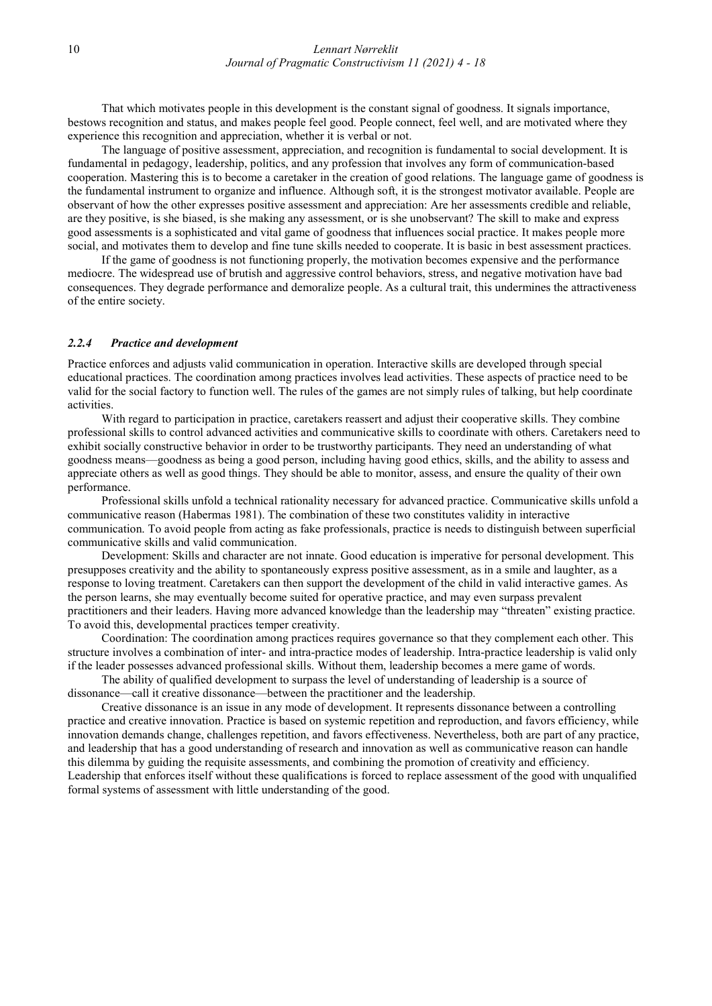That which motivates people in this development is the constant signal of goodness. It signals importance, bestows recognition and status, and makes people feel good. People connect, feel well, and are motivated where they experience this recognition and appreciation, whether it is verbal or not.

The language of positive assessment, appreciation, and recognition is fundamental to social development. It is fundamental in pedagogy, leadership, politics, and any profession that involves any form of communication-based cooperation. Mastering this is to become a caretaker in the creation of good relations. The language game of goodness is the fundamental instrument to organize and influence. Although soft, it is the strongest motivator available. People are observant of how the other expresses positive assessment and appreciation: Are her assessments credible and reliable, are they positive, is she biased, is she making any assessment, or is she unobservant? The skill to make and express good assessments is a sophisticated and vital game of goodness that influences social practice. It makes people more social, and motivates them to develop and fine tune skills needed to cooperate. It is basic in best assessment practices.

If the game of goodness is not functioning properly, the motivation becomes expensive and the performance mediocre. The widespread use of brutish and aggressive control behaviors, stress, and negative motivation have bad consequences. They degrade performance and demoralize people. As a cultural trait, this undermines the attractiveness of the entire society.

#### 2.2.4 Practice and development

Practice enforces and adjusts valid communication in operation. Interactive skills are developed through special educational practices. The coordination among practices involves lead activities. These aspects of practice need to be valid for the social factory to function well. The rules of the games are not simply rules of talking, but help coordinate activities.

With regard to participation in practice, caretakers reassert and adjust their cooperative skills. They combine professional skills to control advanced activities and communicative skills to coordinate with others. Caretakers need to exhibit socially constructive behavior in order to be trustworthy participants. They need an understanding of what goodness means—goodness as being a good person, including having good ethics, skills, and the ability to assess and appreciate others as well as good things. They should be able to monitor, assess, and ensure the quality of their own performance.

Professional skills unfold a technical rationality necessary for advanced practice. Communicative skills unfold a communicative reason (Habermas 1981). The combination of these two constitutes validity in interactive communication. To avoid people from acting as fake professionals, practice is needs to distinguish between superficial communicative skills and valid communication.

Development: Skills and character are not innate. Good education is imperative for personal development. This presupposes creativity and the ability to spontaneously express positive assessment, as in a smile and laughter, as a response to loving treatment. Caretakers can then support the development of the child in valid interactive games. As the person learns, she may eventually become suited for operative practice, and may even surpass prevalent practitioners and their leaders. Having more advanced knowledge than the leadership may "threaten" existing practice. To avoid this, developmental practices temper creativity.

Coordination: The coordination among practices requires governance so that they complement each other. This structure involves a combination of inter- and intra-practice modes of leadership. Intra-practice leadership is valid only if the leader possesses advanced professional skills. Without them, leadership becomes a mere game of words.

The ability of qualified development to surpass the level of understanding of leadership is a source of dissonance—call it creative dissonance—between the practitioner and the leadership.

Creative dissonance is an issue in any mode of development. It represents dissonance between a controlling practice and creative innovation. Practice is based on systemic repetition and reproduction, and favors efficiency, while innovation demands change, challenges repetition, and favors effectiveness. Nevertheless, both are part of any practice, and leadership that has a good understanding of research and innovation as well as communicative reason can handle this dilemma by guiding the requisite assessments, and combining the promotion of creativity and efficiency. Leadership that enforces itself without these qualifications is forced to replace assessment of the good with unqualified formal systems of assessment with little understanding of the good.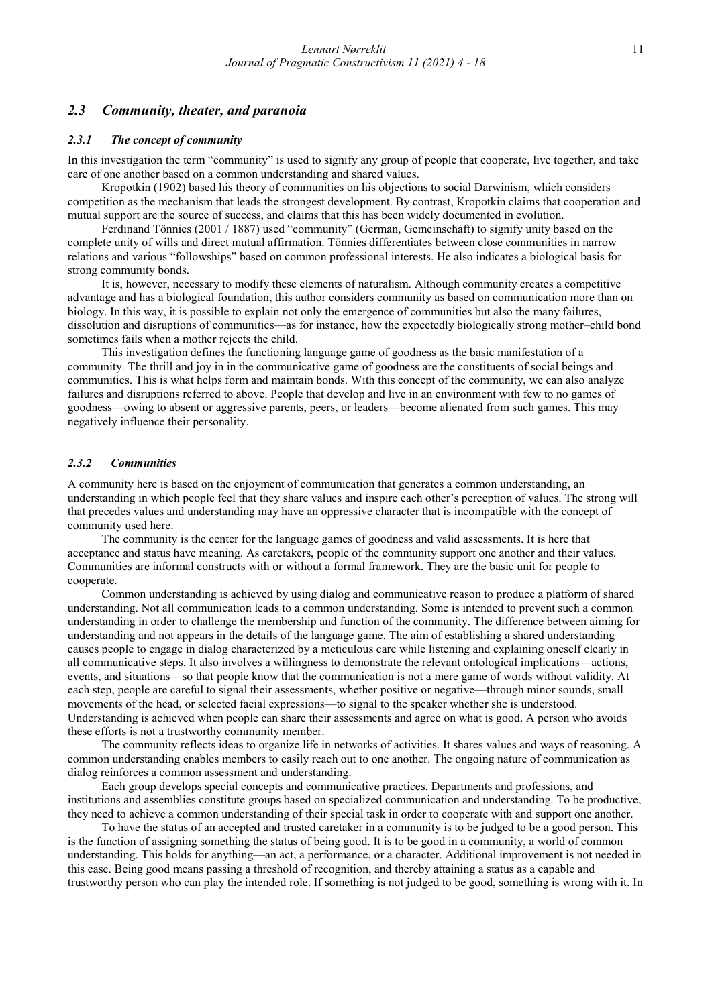# 2.3 Community, theater, and paranoia

#### 2.3.1 The concept of community

In this investigation the term "community" is used to signify any group of people that cooperate, live together, and take care of one another based on a common understanding and shared values.

Kropotkin (1902) based his theory of communities on his objections to social Darwinism, which considers competition as the mechanism that leads the strongest development. By contrast, Kropotkin claims that cooperation and mutual support are the source of success, and claims that this has been widely documented in evolution.

Ferdinand Tönnies (2001 / 1887) used "community" (German, Gemeinschaft) to signify unity based on the complete unity of wills and direct mutual affirmation. Tönnies differentiates between close communities in narrow relations and various "followships" based on common professional interests. He also indicates a biological basis for strong community bonds.

It is, however, necessary to modify these elements of naturalism. Although community creates a competitive advantage and has a biological foundation, this author considers community as based on communication more than on biology. In this way, it is possible to explain not only the emergence of communities but also the many failures, dissolution and disruptions of communities—as for instance, how the expectedly biologically strong mother–child bond sometimes fails when a mother rejects the child.

This investigation defines the functioning language game of goodness as the basic manifestation of a community. The thrill and joy in in the communicative game of goodness are the constituents of social beings and communities. This is what helps form and maintain bonds. With this concept of the community, we can also analyze failures and disruptions referred to above. People that develop and live in an environment with few to no games of goodness—owing to absent or aggressive parents, peers, or leaders—become alienated from such games. This may negatively influence their personality.

#### 2.3.2 Communities

A community here is based on the enjoyment of communication that generates a common understanding, an understanding in which people feel that they share values and inspire each other's perception of values. The strong will that precedes values and understanding may have an oppressive character that is incompatible with the concept of community used here.

The community is the center for the language games of goodness and valid assessments. It is here that acceptance and status have meaning. As caretakers, people of the community support one another and their values. Communities are informal constructs with or without a formal framework. They are the basic unit for people to cooperate.

Common understanding is achieved by using dialog and communicative reason to produce a platform of shared understanding. Not all communication leads to a common understanding. Some is intended to prevent such a common understanding in order to challenge the membership and function of the community. The difference between aiming for understanding and not appears in the details of the language game. The aim of establishing a shared understanding causes people to engage in dialog characterized by a meticulous care while listening and explaining oneself clearly in all communicative steps. It also involves a willingness to demonstrate the relevant ontological implications—actions, events, and situations—so that people know that the communication is not a mere game of words without validity. At each step, people are careful to signal their assessments, whether positive or negative—through minor sounds, small movements of the head, or selected facial expressions—to signal to the speaker whether she is understood. Understanding is achieved when people can share their assessments and agree on what is good. A person who avoids these efforts is not a trustworthy community member.

The community reflects ideas to organize life in networks of activities. It shares values and ways of reasoning. A common understanding enables members to easily reach out to one another. The ongoing nature of communication as dialog reinforces a common assessment and understanding.

Each group develops special concepts and communicative practices. Departments and professions, and institutions and assemblies constitute groups based on specialized communication and understanding. To be productive, they need to achieve a common understanding of their special task in order to cooperate with and support one another.

To have the status of an accepted and trusted caretaker in a community is to be judged to be a good person. This is the function of assigning something the status of being good. It is to be good in a community, a world of common understanding. This holds for anything—an act, a performance, or a character. Additional improvement is not needed in this case. Being good means passing a threshold of recognition, and thereby attaining a status as a capable and trustworthy person who can play the intended role. If something is not judged to be good, something is wrong with it. In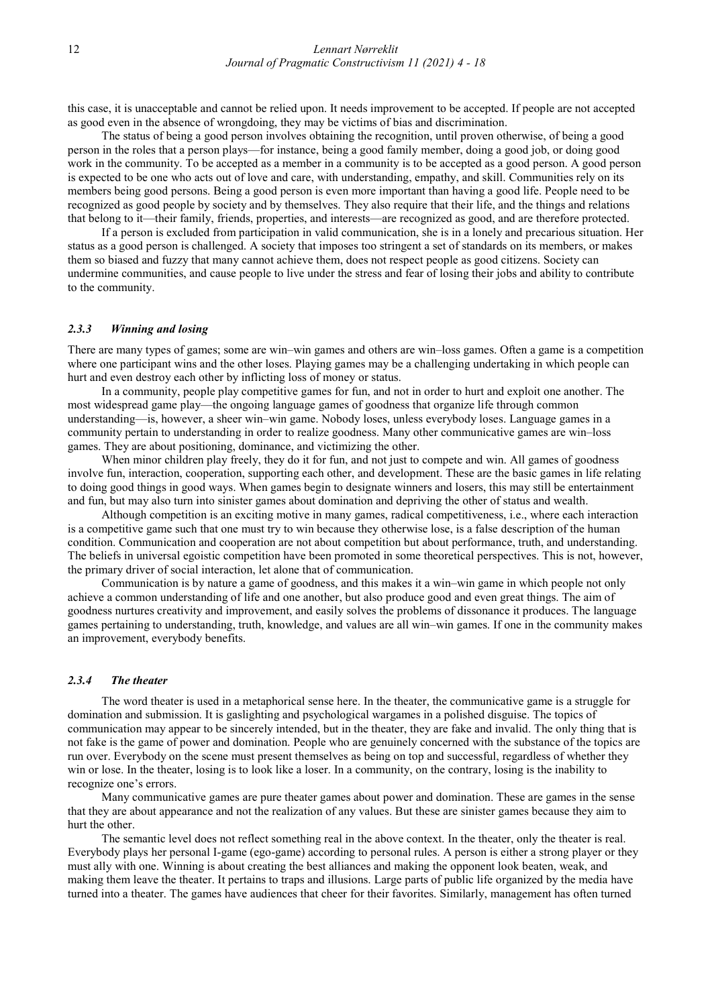this case, it is unacceptable and cannot be relied upon. It needs improvement to be accepted. If people are not accepted as good even in the absence of wrongdoing, they may be victims of bias and discrimination.

The status of being a good person involves obtaining the recognition, until proven otherwise, of being a good person in the roles that a person plays—for instance, being a good family member, doing a good job, or doing good work in the community. To be accepted as a member in a community is to be accepted as a good person. A good person is expected to be one who acts out of love and care, with understanding, empathy, and skill. Communities rely on its members being good persons. Being a good person is even more important than having a good life. People need to be recognized as good people by society and by themselves. They also require that their life, and the things and relations that belong to it—their family, friends, properties, and interests—are recognized as good, and are therefore protected.

If a person is excluded from participation in valid communication, she is in a lonely and precarious situation. Her status as a good person is challenged. A society that imposes too stringent a set of standards on its members, or makes them so biased and fuzzy that many cannot achieve them, does not respect people as good citizens. Society can undermine communities, and cause people to live under the stress and fear of losing their jobs and ability to contribute to the community.

#### 2.3.3 Winning and losing

There are many types of games; some are win–win games and others are win–loss games. Often a game is a competition where one participant wins and the other loses. Playing games may be a challenging undertaking in which people can hurt and even destroy each other by inflicting loss of money or status.

In a community, people play competitive games for fun, and not in order to hurt and exploit one another. The most widespread game play—the ongoing language games of goodness that organize life through common understanding—is, however, a sheer win–win game. Nobody loses, unless everybody loses. Language games in a community pertain to understanding in order to realize goodness. Many other communicative games are win–loss games. They are about positioning, dominance, and victimizing the other.

When minor children play freely, they do it for fun, and not just to compete and win. All games of goodness involve fun, interaction, cooperation, supporting each other, and development. These are the basic games in life relating to doing good things in good ways. When games begin to designate winners and losers, this may still be entertainment and fun, but may also turn into sinister games about domination and depriving the other of status and wealth.

Although competition is an exciting motive in many games, radical competitiveness, i.e., where each interaction is a competitive game such that one must try to win because they otherwise lose, is a false description of the human condition. Communication and cooperation are not about competition but about performance, truth, and understanding. The beliefs in universal egoistic competition have been promoted in some theoretical perspectives. This is not, however, the primary driver of social interaction, let alone that of communication.

Communication is by nature a game of goodness, and this makes it a win–win game in which people not only achieve a common understanding of life and one another, but also produce good and even great things. The aim of goodness nurtures creativity and improvement, and easily solves the problems of dissonance it produces. The language games pertaining to understanding, truth, knowledge, and values are all win–win games. If one in the community makes an improvement, everybody benefits.

#### 2.3.4 The theater

The word theater is used in a metaphorical sense here. In the theater, the communicative game is a struggle for domination and submission. It is gaslighting and psychological wargames in a polished disguise. The topics of communication may appear to be sincerely intended, but in the theater, they are fake and invalid. The only thing that is not fake is the game of power and domination. People who are genuinely concerned with the substance of the topics are run over. Everybody on the scene must present themselves as being on top and successful, regardless of whether they win or lose. In the theater, losing is to look like a loser. In a community, on the contrary, losing is the inability to recognize one's errors.

Many communicative games are pure theater games about power and domination. These are games in the sense that they are about appearance and not the realization of any values. But these are sinister games because they aim to hurt the other.

The semantic level does not reflect something real in the above context. In the theater, only the theater is real. Everybody plays her personal I-game (ego-game) according to personal rules. A person is either a strong player or they must ally with one. Winning is about creating the best alliances and making the opponent look beaten, weak, and making them leave the theater. It pertains to traps and illusions. Large parts of public life organized by the media have turned into a theater. The games have audiences that cheer for their favorites. Similarly, management has often turned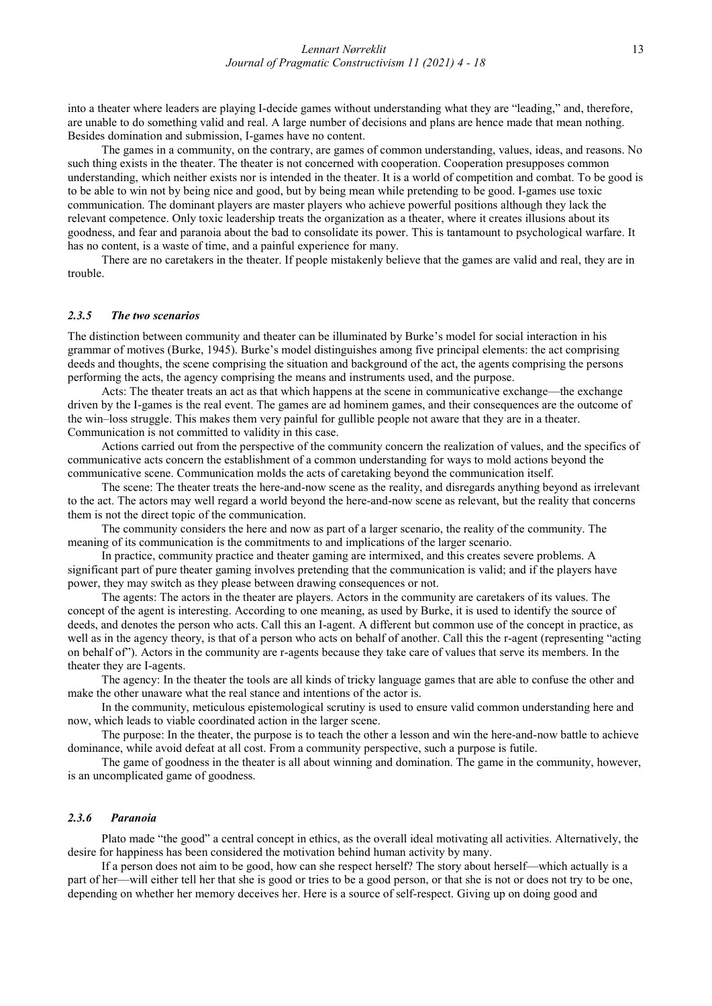into a theater where leaders are playing I-decide games without understanding what they are "leading," and, therefore, are unable to do something valid and real. A large number of decisions and plans are hence made that mean nothing. Besides domination and submission, I-games have no content.

The games in a community, on the contrary, are games of common understanding, values, ideas, and reasons. No such thing exists in the theater. The theater is not concerned with cooperation. Cooperation presupposes common understanding, which neither exists nor is intended in the theater. It is a world of competition and combat. To be good is to be able to win not by being nice and good, but by being mean while pretending to be good. I-games use toxic communication. The dominant players are master players who achieve powerful positions although they lack the relevant competence. Only toxic leadership treats the organization as a theater, where it creates illusions about its goodness, and fear and paranoia about the bad to consolidate its power. This is tantamount to psychological warfare. It has no content, is a waste of time, and a painful experience for many.

There are no caretakers in the theater. If people mistakenly believe that the games are valid and real, they are in trouble.

#### 2.3.5 The two scenarios

The distinction between community and theater can be illuminated by Burke's model for social interaction in his grammar of motives (Burke, 1945). Burke's model distinguishes among five principal elements: the act comprising deeds and thoughts, the scene comprising the situation and background of the act, the agents comprising the persons performing the acts, the agency comprising the means and instruments used, and the purpose.

Acts: The theater treats an act as that which happens at the scene in communicative exchange—the exchange driven by the I-games is the real event. The games are ad hominem games, and their consequences are the outcome of the win–loss struggle. This makes them very painful for gullible people not aware that they are in a theater. Communication is not committed to validity in this case.

Actions carried out from the perspective of the community concern the realization of values, and the specifics of communicative acts concern the establishment of a common understanding for ways to mold actions beyond the communicative scene. Communication molds the acts of caretaking beyond the communication itself.

The scene: The theater treats the here-and-now scene as the reality, and disregards anything beyond as irrelevant to the act. The actors may well regard a world beyond the here-and-now scene as relevant, but the reality that concerns them is not the direct topic of the communication.

The community considers the here and now as part of a larger scenario, the reality of the community. The meaning of its communication is the commitments to and implications of the larger scenario.

In practice, community practice and theater gaming are intermixed, and this creates severe problems. A significant part of pure theater gaming involves pretending that the communication is valid; and if the players have power, they may switch as they please between drawing consequences or not.

The agents: The actors in the theater are players. Actors in the community are caretakers of its values. The concept of the agent is interesting. According to one meaning, as used by Burke, it is used to identify the source of deeds, and denotes the person who acts. Call this an I-agent. A different but common use of the concept in practice, as well as in the agency theory, is that of a person who acts on behalf of another. Call this the r-agent (representing "acting on behalf of"). Actors in the community are r-agents because they take care of values that serve its members. In the theater they are I-agents.

The agency: In the theater the tools are all kinds of tricky language games that are able to confuse the other and make the other unaware what the real stance and intentions of the actor is.

In the community, meticulous epistemological scrutiny is used to ensure valid common understanding here and now, which leads to viable coordinated action in the larger scene.

The purpose: In the theater, the purpose is to teach the other a lesson and win the here-and-now battle to achieve dominance, while avoid defeat at all cost. From a community perspective, such a purpose is futile.

The game of goodness in the theater is all about winning and domination. The game in the community, however, is an uncomplicated game of goodness.

#### 2.3.6 Paranoia

Plato made "the good" a central concept in ethics, as the overall ideal motivating all activities. Alternatively, the desire for happiness has been considered the motivation behind human activity by many.

If a person does not aim to be good, how can she respect herself? The story about herself—which actually is a part of her—will either tell her that she is good or tries to be a good person, or that she is not or does not try to be one, depending on whether her memory deceives her. Here is a source of self-respect. Giving up on doing good and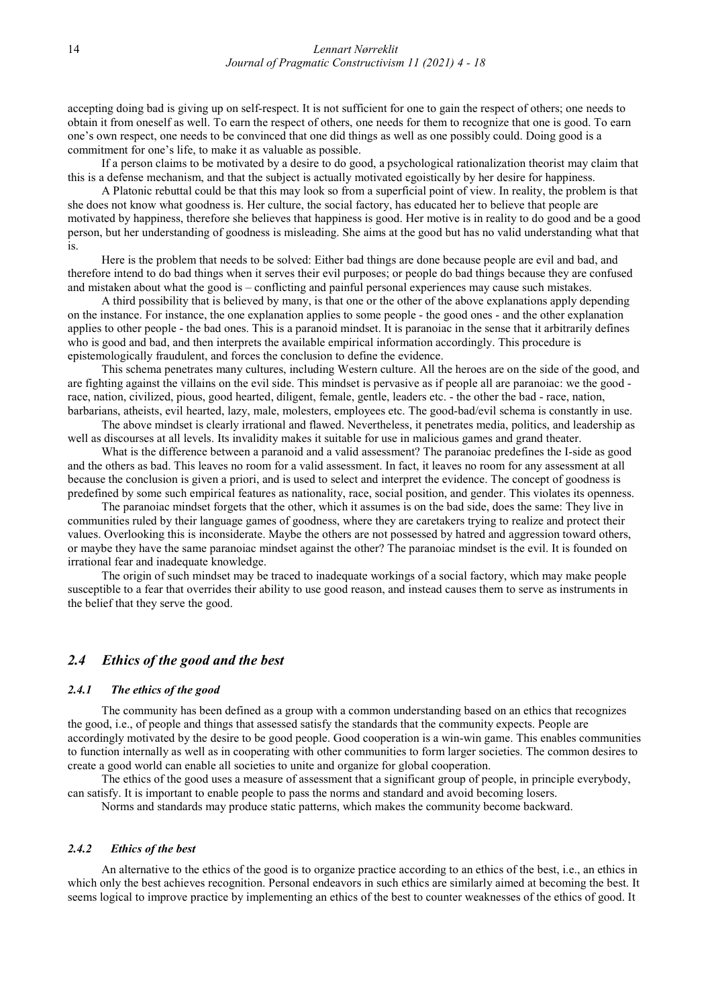accepting doing bad is giving up on self-respect. It is not sufficient for one to gain the respect of others; one needs to obtain it from oneself as well. To earn the respect of others, one needs for them to recognize that one is good. To earn one's own respect, one needs to be convinced that one did things as well as one possibly could. Doing good is a commitment for one's life, to make it as valuable as possible.

If a person claims to be motivated by a desire to do good, a psychological rationalization theorist may claim that this is a defense mechanism, and that the subject is actually motivated egoistically by her desire for happiness.

A Platonic rebuttal could be that this may look so from a superficial point of view. In reality, the problem is that she does not know what goodness is. Her culture, the social factory, has educated her to believe that people are motivated by happiness, therefore she believes that happiness is good. Her motive is in reality to do good and be a good person, but her understanding of goodness is misleading. She aims at the good but has no valid understanding what that is.

Here is the problem that needs to be solved: Either bad things are done because people are evil and bad, and therefore intend to do bad things when it serves their evil purposes; or people do bad things because they are confused and mistaken about what the good is – conflicting and painful personal experiences may cause such mistakes.

A third possibility that is believed by many, is that one or the other of the above explanations apply depending on the instance. For instance, the one explanation applies to some people - the good ones - and the other explanation applies to other people - the bad ones. This is a paranoid mindset. It is paranoiac in the sense that it arbitrarily defines who is good and bad, and then interprets the available empirical information accordingly. This procedure is epistemologically fraudulent, and forces the conclusion to define the evidence.

This schema penetrates many cultures, including Western culture. All the heroes are on the side of the good, and are fighting against the villains on the evil side. This mindset is pervasive as if people all are paranoiac: we the good race, nation, civilized, pious, good hearted, diligent, female, gentle, leaders etc. - the other the bad - race, nation, barbarians, atheists, evil hearted, lazy, male, molesters, employees etc. The good-bad/evil schema is constantly in use.

The above mindset is clearly irrational and flawed. Nevertheless, it penetrates media, politics, and leadership as well as discourses at all levels. Its invalidity makes it suitable for use in malicious games and grand theater.

What is the difference between a paranoid and a valid assessment? The paranoiac predefines the I-side as good and the others as bad. This leaves no room for a valid assessment. In fact, it leaves no room for any assessment at all because the conclusion is given a priori, and is used to select and interpret the evidence. The concept of goodness is predefined by some such empirical features as nationality, race, social position, and gender. This violates its openness.

The paranoiac mindset forgets that the other, which it assumes is on the bad side, does the same: They live in communities ruled by their language games of goodness, where they are caretakers trying to realize and protect their values. Overlooking this is inconsiderate. Maybe the others are not possessed by hatred and aggression toward others, or maybe they have the same paranoiac mindset against the other? The paranoiac mindset is the evil. It is founded on irrational fear and inadequate knowledge.

The origin of such mindset may be traced to inadequate workings of a social factory, which may make people susceptible to a fear that overrides their ability to use good reason, and instead causes them to serve as instruments in the belief that they serve the good.

# 2.4 Ethics of the good and the best

#### 2.4.1 The ethics of the good

The community has been defined as a group with a common understanding based on an ethics that recognizes the good, i.e., of people and things that assessed satisfy the standards that the community expects. People are accordingly motivated by the desire to be good people. Good cooperation is a win-win game. This enables communities to function internally as well as in cooperating with other communities to form larger societies. The common desires to create a good world can enable all societies to unite and organize for global cooperation.

The ethics of the good uses a measure of assessment that a significant group of people, in principle everybody, can satisfy. It is important to enable people to pass the norms and standard and avoid becoming losers.

Norms and standards may produce static patterns, which makes the community become backward.

#### 2.4.2 Ethics of the best

An alternative to the ethics of the good is to organize practice according to an ethics of the best, i.e., an ethics in which only the best achieves recognition. Personal endeavors in such ethics are similarly aimed at becoming the best. It seems logical to improve practice by implementing an ethics of the best to counter weaknesses of the ethics of good. It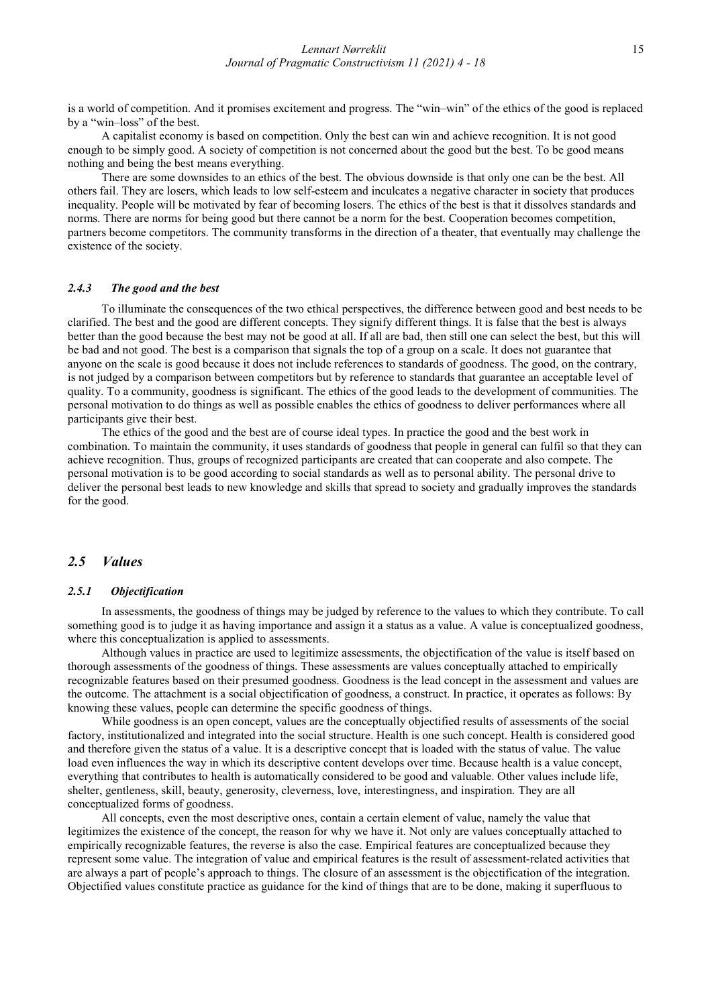is a world of competition. And it promises excitement and progress. The "win–win" of the ethics of the good is replaced by a "win–loss" of the best.

A capitalist economy is based on competition. Only the best can win and achieve recognition. It is not good enough to be simply good. A society of competition is not concerned about the good but the best. To be good means nothing and being the best means everything.

There are some downsides to an ethics of the best. The obvious downside is that only one can be the best. All others fail. They are losers, which leads to low self-esteem and inculcates a negative character in society that produces inequality. People will be motivated by fear of becoming losers. The ethics of the best is that it dissolves standards and norms. There are norms for being good but there cannot be a norm for the best. Cooperation becomes competition, partners become competitors. The community transforms in the direction of a theater, that eventually may challenge the existence of the society.

#### 2.4.3 The good and the best

To illuminate the consequences of the two ethical perspectives, the difference between good and best needs to be clarified. The best and the good are different concepts. They signify different things. It is false that the best is always better than the good because the best may not be good at all. If all are bad, then still one can select the best, but this will be bad and not good. The best is a comparison that signals the top of a group on a scale. It does not guarantee that anyone on the scale is good because it does not include references to standards of goodness. The good, on the contrary, is not judged by a comparison between competitors but by reference to standards that guarantee an acceptable level of quality. To a community, goodness is significant. The ethics of the good leads to the development of communities. The personal motivation to do things as well as possible enables the ethics of goodness to deliver performances where all participants give their best.

The ethics of the good and the best are of course ideal types. In practice the good and the best work in combination. To maintain the community, it uses standards of goodness that people in general can fulfil so that they can achieve recognition. Thus, groups of recognized participants are created that can cooperate and also compete. The personal motivation is to be good according to social standards as well as to personal ability. The personal drive to deliver the personal best leads to new knowledge and skills that spread to society and gradually improves the standards for the good.

# 2.5 Values

#### 2.5.1 Objectification

In assessments, the goodness of things may be judged by reference to the values to which they contribute. To call something good is to judge it as having importance and assign it a status as a value. A value is conceptualized goodness, where this conceptualization is applied to assessments.

Although values in practice are used to legitimize assessments, the objectification of the value is itself based on thorough assessments of the goodness of things. These assessments are values conceptually attached to empirically recognizable features based on their presumed goodness. Goodness is the lead concept in the assessment and values are the outcome. The attachment is a social objectification of goodness, a construct. In practice, it operates as follows: By knowing these values, people can determine the specific goodness of things.

While goodness is an open concept, values are the conceptually objectified results of assessments of the social factory, institutionalized and integrated into the social structure. Health is one such concept. Health is considered good and therefore given the status of a value. It is a descriptive concept that is loaded with the status of value. The value load even influences the way in which its descriptive content develops over time. Because health is a value concept, everything that contributes to health is automatically considered to be good and valuable. Other values include life, shelter, gentleness, skill, beauty, generosity, cleverness, love, interestingness, and inspiration. They are all conceptualized forms of goodness.

All concepts, even the most descriptive ones, contain a certain element of value, namely the value that legitimizes the existence of the concept, the reason for why we have it. Not only are values conceptually attached to empirically recognizable features, the reverse is also the case. Empirical features are conceptualized because they represent some value. The integration of value and empirical features is the result of assessment-related activities that are always a part of people's approach to things. The closure of an assessment is the objectification of the integration. Objectified values constitute practice as guidance for the kind of things that are to be done, making it superfluous to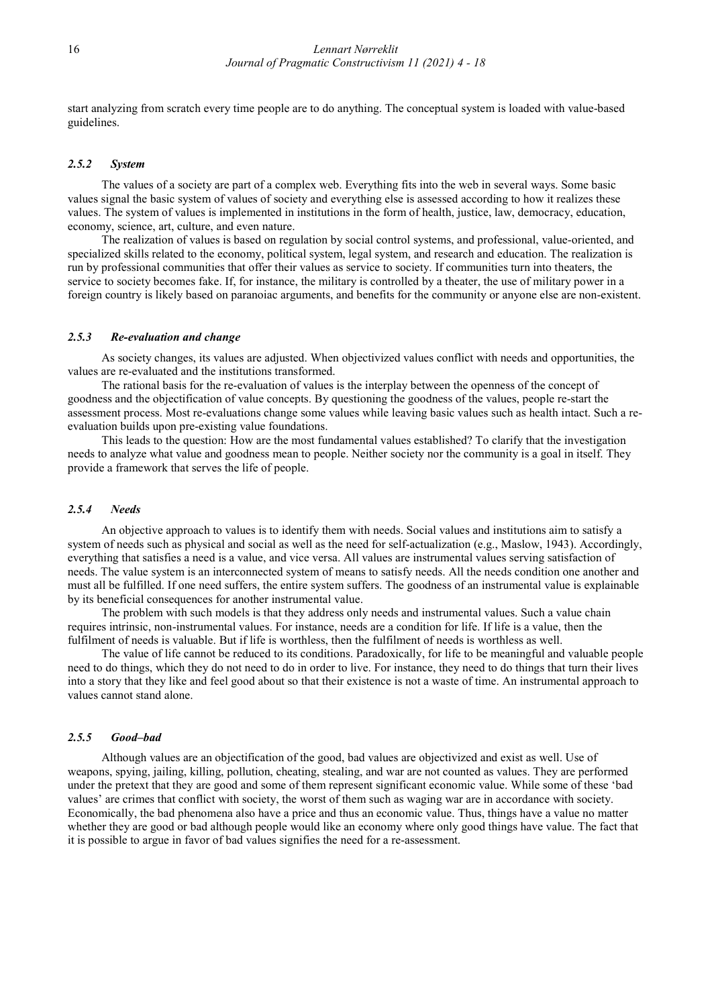start analyzing from scratch every time people are to do anything. The conceptual system is loaded with value-based guidelines.

#### 2.5.2 System

The values of a society are part of a complex web. Everything fits into the web in several ways. Some basic values signal the basic system of values of society and everything else is assessed according to how it realizes these values. The system of values is implemented in institutions in the form of health, justice, law, democracy, education, economy, science, art, culture, and even nature.

The realization of values is based on regulation by social control systems, and professional, value-oriented, and specialized skills related to the economy, political system, legal system, and research and education. The realization is run by professional communities that offer their values as service to society. If communities turn into theaters, the service to society becomes fake. If, for instance, the military is controlled by a theater, the use of military power in a foreign country is likely based on paranoiac arguments, and benefits for the community or anyone else are non-existent.

#### 2.5.3 Re-evaluation and change

As society changes, its values are adjusted. When objectivized values conflict with needs and opportunities, the values are re-evaluated and the institutions transformed.

The rational basis for the re-evaluation of values is the interplay between the openness of the concept of goodness and the objectification of value concepts. By questioning the goodness of the values, people re-start the assessment process. Most re-evaluations change some values while leaving basic values such as health intact. Such a reevaluation builds upon pre-existing value foundations.

This leads to the question: How are the most fundamental values established? To clarify that the investigation needs to analyze what value and goodness mean to people. Neither society nor the community is a goal in itself. They provide a framework that serves the life of people.

#### 2.5.4 Needs

An objective approach to values is to identify them with needs. Social values and institutions aim to satisfy a system of needs such as physical and social as well as the need for self-actualization (e.g., Maslow, 1943). Accordingly, everything that satisfies a need is a value, and vice versa. All values are instrumental values serving satisfaction of needs. The value system is an interconnected system of means to satisfy needs. All the needs condition one another and must all be fulfilled. If one need suffers, the entire system suffers. The goodness of an instrumental value is explainable by its beneficial consequences for another instrumental value.

The problem with such models is that they address only needs and instrumental values. Such a value chain requires intrinsic, non-instrumental values. For instance, needs are a condition for life. If life is a value, then the fulfilment of needs is valuable. But if life is worthless, then the fulfilment of needs is worthless as well.

The value of life cannot be reduced to its conditions. Paradoxically, for life to be meaningful and valuable people need to do things, which they do not need to do in order to live. For instance, they need to do things that turn their lives into a story that they like and feel good about so that their existence is not a waste of time. An instrumental approach to values cannot stand alone.

#### 2.5.5 Good–bad

Although values are an objectification of the good, bad values are objectivized and exist as well. Use of weapons, spying, jailing, killing, pollution, cheating, stealing, and war are not counted as values. They are performed under the pretext that they are good and some of them represent significant economic value. While some of these 'bad values' are crimes that conflict with society, the worst of them such as waging war are in accordance with society. Economically, the bad phenomena also have a price and thus an economic value. Thus, things have a value no matter whether they are good or bad although people would like an economy where only good things have value. The fact that it is possible to argue in favor of bad values signifies the need for a re-assessment.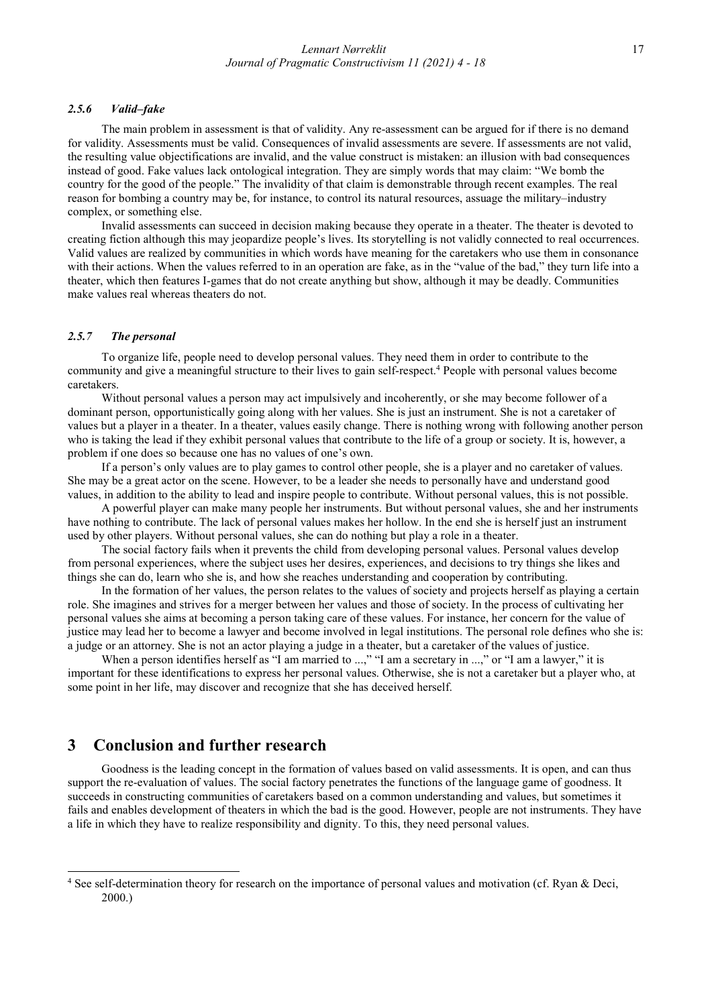#### 2.5.6 Valid–fake

The main problem in assessment is that of validity. Any re-assessment can be argued for if there is no demand for validity. Assessments must be valid. Consequences of invalid assessments are severe. If assessments are not valid, the resulting value objectifications are invalid, and the value construct is mistaken: an illusion with bad consequences instead of good. Fake values lack ontological integration. They are simply words that may claim: "We bomb the country for the good of the people." The invalidity of that claim is demonstrable through recent examples. The real reason for bombing a country may be, for instance, to control its natural resources, assuage the military–industry complex, or something else.

Invalid assessments can succeed in decision making because they operate in a theater. The theater is devoted to creating fiction although this may jeopardize people's lives. Its storytelling is not validly connected to real occurrences. Valid values are realized by communities in which words have meaning for the caretakers who use them in consonance with their actions. When the values referred to in an operation are fake, as in the "value of the bad," they turn life into a theater, which then features I-games that do not create anything but show, although it may be deadly. Communities make values real whereas theaters do not.

#### 2.5.7 The personal

To organize life, people need to develop personal values. They need them in order to contribute to the community and give a meaningful structure to their lives to gain self-respect.<sup>4</sup> People with personal values become caretakers.

Without personal values a person may act impulsively and incoherently, or she may become follower of a dominant person, opportunistically going along with her values. She is just an instrument. She is not a caretaker of values but a player in a theater. In a theater, values easily change. There is nothing wrong with following another person who is taking the lead if they exhibit personal values that contribute to the life of a group or society. It is, however, a problem if one does so because one has no values of one's own.

If a person's only values are to play games to control other people, she is a player and no caretaker of values. She may be a great actor on the scene. However, to be a leader she needs to personally have and understand good values, in addition to the ability to lead and inspire people to contribute. Without personal values, this is not possible.

A powerful player can make many people her instruments. But without personal values, she and her instruments have nothing to contribute. The lack of personal values makes her hollow. In the end she is herself just an instrument used by other players. Without personal values, she can do nothing but play a role in a theater.

The social factory fails when it prevents the child from developing personal values. Personal values develop from personal experiences, where the subject uses her desires, experiences, and decisions to try things she likes and things she can do, learn who she is, and how she reaches understanding and cooperation by contributing.

In the formation of her values, the person relates to the values of society and projects herself as playing a certain role. She imagines and strives for a merger between her values and those of society. In the process of cultivating her personal values she aims at becoming a person taking care of these values. For instance, her concern for the value of justice may lead her to become a lawyer and become involved in legal institutions. The personal role defines who she is: a judge or an attorney. She is not an actor playing a judge in a theater, but a caretaker of the values of justice.

When a person identifies herself as "I am married to ...," "I am a secretary in ...," or "I am a lawyer," it is important for these identifications to express her personal values. Otherwise, she is not a caretaker but a player who, at some point in her life, may discover and recognize that she has deceived herself.

# 3 Conclusion and further research

-

Goodness is the leading concept in the formation of values based on valid assessments. It is open, and can thus support the re-evaluation of values. The social factory penetrates the functions of the language game of goodness. It succeeds in constructing communities of caretakers based on a common understanding and values, but sometimes it fails and enables development of theaters in which the bad is the good. However, people are not instruments. They have a life in which they have to realize responsibility and dignity. To this, they need personal values.

<sup>&</sup>lt;sup>4</sup> See self-determination theory for research on the importance of personal values and motivation (cf. Ryan & Deci, 2000.)